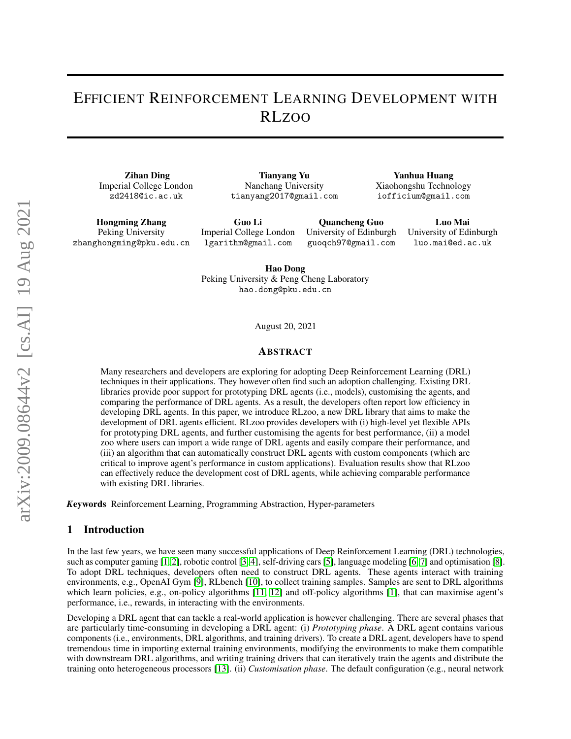# EFFICIENT REINFORCEMENT LEARNING DEVELOPMENT WITH RLZOO

Zihan Ding Imperial College London zd2418@ic.ac.uk

Tianyang Yu Nanchang University tianyang2017@gmail.com

Yanhua Huang Xiaohongshu Technology iofficium@gmail.com

Hongming Zhang Peking University zhanghongming@pku.edu.cn

Guo Li Imperial College London lgarithm@gmail.com

Quancheng Guo University of Edinburgh guoqch97@gmail.com

Luo Mai University of Edinburgh luo.mai@ed.ac.uk

Hao Dong Peking University & Peng Cheng Laboratory hao.dong@pku.edu.cn

August 20, 2021

#### ABSTRACT

Many researchers and developers are exploring for adopting Deep Reinforcement Learning (DRL) techniques in their applications. They however often find such an adoption challenging. Existing DRL libraries provide poor support for prototyping DRL agents (i.e., models), customising the agents, and comparing the performance of DRL agents. As a result, the developers often report low efficiency in developing DRL agents. In this paper, we introduce RLzoo, a new DRL library that aims to make the development of DRL agents efficient. RLzoo provides developers with (i) high-level yet flexible APIs for prototyping DRL agents, and further customising the agents for best performance, (ii) a model zoo where users can import a wide range of DRL agents and easily compare their performance, and (iii) an algorithm that can automatically construct DRL agents with custom components (which are critical to improve agent's performance in custom applications). Evaluation results show that RLzoo can effectively reduce the development cost of DRL agents, while achieving comparable performance with existing DRL libraries.

*K*eywords Reinforcement Learning, Programming Abstraction, Hyper-parameters

#### 1 Introduction

In the last few years, we have seen many successful applications of Deep Reinforcement Learning (DRL) technologies, such as computer gaming [\[1,](#page-6-0) [2\]](#page-6-1), robotic control [\[3,](#page-6-2) [4\]](#page-6-3), self-driving cars [\[5\]](#page-7-0), language modeling [\[6,](#page-7-1) [7\]](#page-7-2) and optimisation [\[8\]](#page-7-3). To adopt DRL techniques, developers often need to construct DRL agents. These agents interact with training environments, e.g., OpenAI Gym [\[9\]](#page-7-4), RLbench [\[10\]](#page-7-5), to collect training samples. Samples are sent to DRL algorithms which learn policies, e.g., on-policy algorithms [\[11,](#page-7-6) [12\]](#page-7-7) and off-policy algorithms [\[1\]](#page-6-0), that can maximise agent's performance, i.e., rewards, in interacting with the environments.

Developing a DRL agent that can tackle a real-world application is however challenging. There are several phases that are particularly time-consuming in developing a DRL agent: (i) *Prototyping phase*. A DRL agent contains various components (i.e., environments, DRL algorithms, and training drivers). To create a DRL agent, developers have to spend tremendous time in importing external training environments, modifying the environments to make them compatible with downstream DRL algorithms, and writing training drivers that can iteratively train the agents and distribute the training onto heterogeneous processors [\[13\]](#page-7-8). (ii) *Customisation phase*. The default configuration (e.g., neural network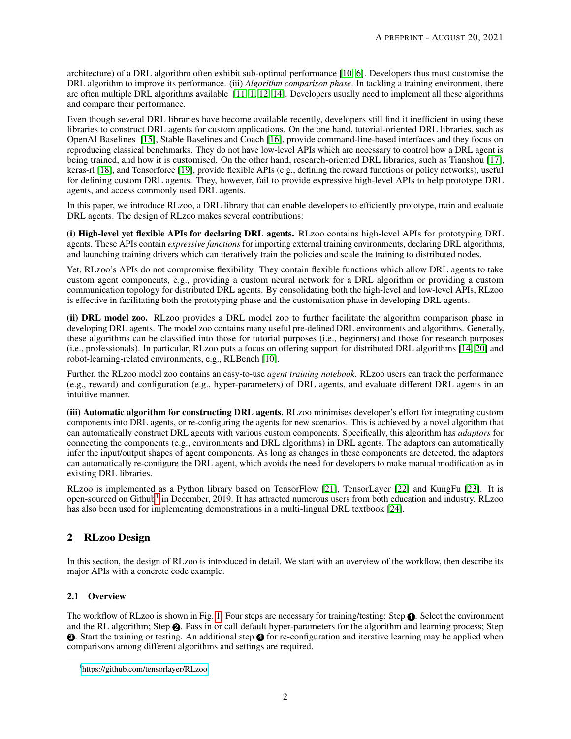architecture) of a DRL algorithm often exhibit sub-optimal performance [\[10,](#page-7-5) [6\]](#page-7-1). Developers thus must customise the DRL algorithm to improve its performance. (iii) *Algorithm comparison phase*. In tackling a training environment, there are often multiple DRL algorithms available [\[11,](#page-7-6) [1,](#page-6-0) [12,](#page-7-7) [14\]](#page-7-9). Developers usually need to implement all these algorithms and compare their performance.

Even though several DRL libraries have become available recently, developers still find it inefficient in using these libraries to construct DRL agents for custom applications. On the one hand, tutorial-oriented DRL libraries, such as OpenAI Baselines [\[15\]](#page-7-10), Stable Baselines and Coach [\[16\]](#page-7-11), provide command-line-based interfaces and they focus on reproducing classical benchmarks. They do not have low-level APIs which are necessary to control how a DRL agent is being trained, and how it is customised. On the other hand, research-oriented DRL libraries, such as Tianshou [\[17\]](#page-7-12), keras-rl [\[18\]](#page-7-13), and Tensorforce [\[19\]](#page-7-14), provide flexible APIs (e.g., defining the reward functions or policy networks), useful for defining custom DRL agents. They, however, fail to provide expressive high-level APIs to help prototype DRL agents, and access commonly used DRL agents.

In this paper, we introduce RLzoo, a DRL library that can enable developers to efficiently prototype, train and evaluate DRL agents. The design of RLzoo makes several contributions:

(i) High-level yet flexible APIs for declaring DRL agents. RLzoo contains high-level APIs for prototyping DRL agents. These APIs contain *expressive functions* for importing external training environments, declaring DRL algorithms, and launching training drivers which can iteratively train the policies and scale the training to distributed nodes.

Yet, RLzoo's APIs do not compromise flexibility. They contain flexible functions which allow DRL agents to take custom agent components, e.g., providing a custom neural network for a DRL algorithm or providing a custom communication topology for distributed DRL agents. By consolidating both the high-level and low-level APIs, RLzoo is effective in facilitating both the prototyping phase and the customisation phase in developing DRL agents.

(ii) DRL model zoo. RLzoo provides a DRL model zoo to further facilitate the algorithm comparison phase in developing DRL agents. The model zoo contains many useful pre-defined DRL environments and algorithms. Generally, these algorithms can be classified into those for tutorial purposes (i.e., beginners) and those for research purposes (i.e., professionals). In particular, RLzoo puts a focus on offering support for distributed DRL algorithms [\[14,](#page-7-9) [20\]](#page-7-15) and robot-learning-related environments, e.g., RLBench [\[10\]](#page-7-5).

Further, the RLzoo model zoo contains an easy-to-use *agent training notebook*. RLzoo users can track the performance (e.g., reward) and configuration (e.g., hyper-parameters) of DRL agents, and evaluate different DRL agents in an intuitive manner.

(iii) Automatic algorithm for constructing DRL agents. RLzoo minimises developer's effort for integrating custom components into DRL agents, or re-configuring the agents for new scenarios. This is achieved by a novel algorithm that can automatically construct DRL agents with various custom components. Specifically, this algorithm has *adaptors* for connecting the components (e.g., environments and DRL algorithms) in DRL agents. The adaptors can automatically infer the input/output shapes of agent components. As long as changes in these components are detected, the adaptors can automatically re-configure the DRL agent, which avoids the need for developers to make manual modification as in existing DRL libraries.

RLzoo is implemented as a Python library based on TensorFlow [\[21\]](#page-7-16), TensorLayer [\[22\]](#page-7-17) and KungFu [\[23\]](#page-7-18). It is open-sourced on Github<sup>[1](#page-1-0)</sup> in December, 2019. It has attracted numerous users from both education and industry. RLzoo has also been used for implementing demonstrations in a multi-lingual DRL textbook [\[24\]](#page-7-19).

# 2 RLzoo Design

In this section, the design of RLzoo is introduced in detail. We start with an overview of the workflow, then describe its major APIs with a concrete code example.

### 2.1 Overview

The workflow of RLzoo is shown in Fig. [1.](#page-2-0) Four steps are necessary for training/testing: Step **1** . Select the environment and the RL algorithm; Step **2** . Pass in or call default hyper-parameters for the algorithm and learning process; Step **3** . Start the training or testing. An additional step **4** for re-configuration and iterative learning may be applied when comparisons among different algorithms and settings are required.

<span id="page-1-0"></span><sup>1</sup> <https://github.com/tensorlayer/RLzoo>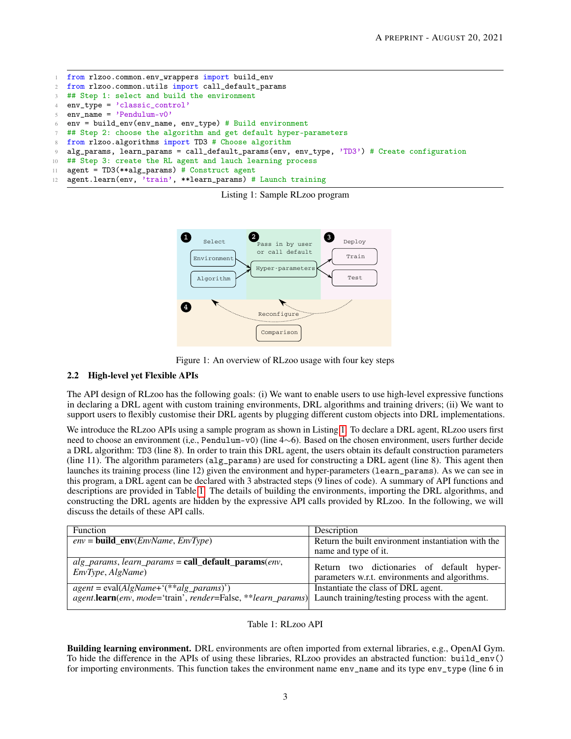```
1 from rlzoo.common.env_wrappers import build_env
2 from rlzoo.common.utils import call_default_params
3 ## Step 1: select and build the environment
4 env_type = 'classic_control'
5 env_name = 'Pendulum-v0'6 env = build_env(env_name, env_type) # Build environment
   ## Step 2: choose the algorithm and get default hyper-parameters
   from rlzoo.algorithms import TD3 # Choose algorithm
9 alg_params, learn_params = call_default_params(env, env_type, 'TD3') # Create configuration
10 ## Step 3: create the RL agent and lauch learning process
11 agent = TD3(**alg_params) # Construct agent
12 agent.learn(env, 'train', **learn_params) # Launch training
```




<span id="page-2-0"></span>

#### 2.2 High-level yet Flexible APIs

The API design of RLzoo has the following goals: (i) We want to enable users to use high-level expressive functions in declaring a DRL agent with custom training environments, DRL algorithms and training drivers; (ii) We want to support users to flexibly customise their DRL agents by plugging different custom objects into DRL implementations.

We introduce the RLzoo APIs using a sample program as shown in Listing [1.](#page-2-1) To declare a DRL agent, RLzoo users first need to choose an environment (i,e., Pendulum-v0) (line 4∼6). Based on the chosen environment, users further decide a DRL algorithm: TD3 (line 8). In order to train this DRL agent, the users obtain its default construction parameters (line 11). The algorithm parameters (alg\_params) are used for constructing a DRL agent (line 8). This agent then launches its training process (line 12) given the environment and hyper-parameters (learn\_params). As we can see in this program, a DRL agent can be declared with 3 abstracted steps (9 lines of code). A summary of API functions and descriptions are provided in Table [1.](#page-2-2) The details of building the environments, importing the DRL algorithms, and constructing the DRL agents are hidden by the expressive API calls provided by RLzoo. In the following, we will discuss the details of these API calls.

| Function                                                                                                                                                        | Description                                                                                 |  |  |  |  |  |
|-----------------------------------------------------------------------------------------------------------------------------------------------------------------|---------------------------------------------------------------------------------------------|--|--|--|--|--|
| $env = build\_env(\overline{Env}$ $RunType)$                                                                                                                    | Return the built environment instantiation with the                                         |  |  |  |  |  |
|                                                                                                                                                                 | name and type of it.                                                                        |  |  |  |  |  |
| $alg\_params$ , learn_params = call_default_params(env,<br>EnvType, AlgName)                                                                                    | Return two dictionaries of default hyper-<br>parameters w.r.t. environments and algorithms. |  |  |  |  |  |
| $agent = eval(AlgName + (**alg_params))$<br><i>agent.learn(env, mode='train', render=False, **learn_params)</i> Launch training/testing process with the agent. | Instantiate the class of DRL agent.                                                         |  |  |  |  |  |

#### Table 1: RLzoo API

<span id="page-2-2"></span>Building learning environment. DRL environments are often imported from external libraries, e.g., OpenAI Gym. To hide the difference in the APIs of using these libraries, RLzoo provides an abstracted function: build\_env() for importing environments. This function takes the environment name env\_name and its type env\_type (line 6 in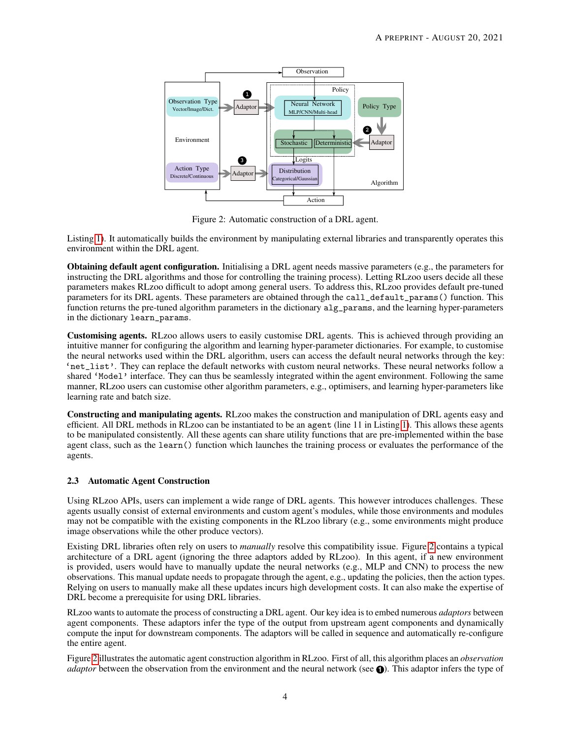

<span id="page-3-0"></span>Figure 2: Automatic construction of a DRL agent.

Listing [1\)](#page-2-1). It automatically builds the environment by manipulating external libraries and transparently operates this environment within the DRL agent.

Obtaining default agent configuration. Initialising a DRL agent needs massive parameters (e.g., the parameters for instructing the DRL algorithms and those for controlling the training process). Letting RLzoo users decide all these parameters makes RLzoo difficult to adopt among general users. To address this, RLzoo provides default pre-tuned parameters for its DRL agents. These parameters are obtained through the call\_default\_params() function. This function returns the pre-tuned algorithm parameters in the dictionary alg\_params, and the learning hyper-parameters in the dictionary learn\_params.

Customising agents. RLzoo allows users to easily customise DRL agents. This is achieved through providing an intuitive manner for configuring the algorithm and learning hyper-parameter dictionaries. For example, to customise the neural networks used within the DRL algorithm, users can access the default neural networks through the key: 'net\_list'. They can replace the default networks with custom neural networks. These neural networks follow a shared 'Model' interface. They can thus be seamlessly integrated within the agent environment. Following the same manner, RLzoo users can customise other algorithm parameters, e.g., optimisers, and learning hyper-parameters like learning rate and batch size.

Constructing and manipulating agents. RLzoo makes the construction and manipulation of DRL agents easy and efficient. All DRL methods in RLzoo can be instantiated to be an agent (line 11 in Listing [1\)](#page-2-1). This allows these agents to be manipulated consistently. All these agents can share utility functions that are pre-implemented within the base agent class, such as the learn() function which launches the training process or evaluates the performance of the agents.

### 2.3 Automatic Agent Construction

Using RLzoo APIs, users can implement a wide range of DRL agents. This however introduces challenges. These agents usually consist of external environments and custom agent's modules, while those environments and modules may not be compatible with the existing components in the RLzoo library (e.g., some environments might produce image observations while the other produce vectors).

Existing DRL libraries often rely on users to *manually* resolve this compatibility issue. Figure [2](#page-3-0) contains a typical architecture of a DRL agent (ignoring the three adaptors added by RLzoo). In this agent, if a new environment is provided, users would have to manually update the neural networks (e.g., MLP and CNN) to process the new observations. This manual update needs to propagate through the agent, e.g., updating the policies, then the action types. Relying on users to manually make all these updates incurs high development costs. It can also make the expertise of DRL become a prerequisite for using DRL libraries.

RLzoo wants to automate the process of constructing a DRL agent. Our key idea is to embed numerous *adaptors* between agent components. These adaptors infer the type of the output from upstream agent components and dynamically compute the input for downstream components. The adaptors will be called in sequence and automatically re-configure the entire agent.

Figure [2](#page-3-0) illustrates the automatic agent construction algorithm in RLzoo. First of all, this algorithm places an *observation adaptor* between the observation from the environment and the neural network (see **1**). This adaptor infers the type of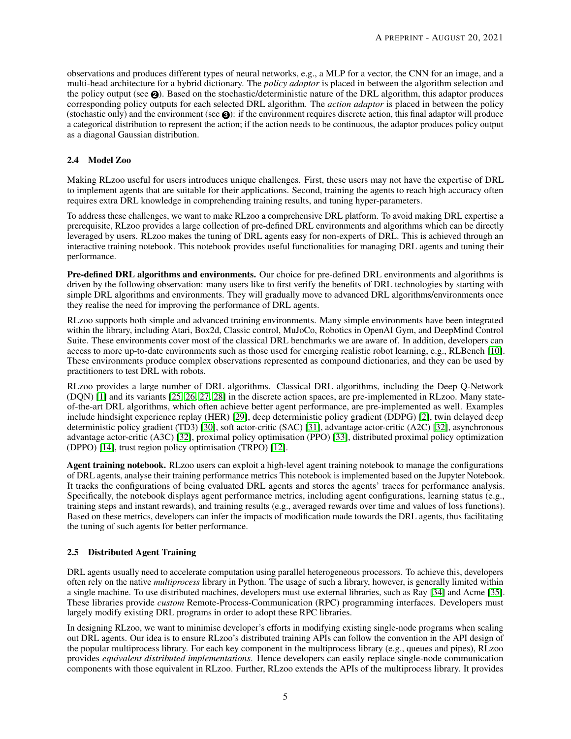observations and produces different types of neural networks, e.g., a MLP for a vector, the CNN for an image, and a multi-head architecture for a hybrid dictionary. The *policy adaptor* is placed in between the algorithm selection and the policy output (see **2** ). Based on the stochastic/deterministic nature of the DRL algorithm, this adaptor produces corresponding policy outputs for each selected DRL algorithm. The *action adaptor* is placed in between the policy (stochastic only) and the environment (see **3** ): if the environment requires discrete action, this final adaptor will produce a categorical distribution to represent the action; if the action needs to be continuous, the adaptor produces policy output as a diagonal Gaussian distribution.

### 2.4 Model Zoo

Making RLzoo useful for users introduces unique challenges. First, these users may not have the expertise of DRL to implement agents that are suitable for their applications. Second, training the agents to reach high accuracy often requires extra DRL knowledge in comprehending training results, and tuning hyper-parameters.

To address these challenges, we want to make RLzoo a comprehensive DRL platform. To avoid making DRL expertise a prerequisite, RLzoo provides a large collection of pre-defined DRL environments and algorithms which can be directly leveraged by users. RLzoo makes the tuning of DRL agents easy for non-experts of DRL. This is achieved through an interactive training notebook. This notebook provides useful functionalities for managing DRL agents and tuning their performance.

Pre-defined DRL algorithms and environments. Our choice for pre-defined DRL environments and algorithms is driven by the following observation: many users like to first verify the benefits of DRL technologies by starting with simple DRL algorithms and environments. They will gradually move to advanced DRL algorithms/environments once they realise the need for improving the performance of DRL agents.

RLzoo supports both simple and advanced training environments. Many simple environments have been integrated within the library, including Atari, Box2d, Classic control, MuJoCo, Robotics in OpenAI Gym, and DeepMind Control Suite. These environments cover most of the classical DRL benchmarks we are aware of. In addition, developers can access to more up-to-date environments such as those used for emerging realistic robot learning, e.g., RLBench [\[10\]](#page-7-5). These environments produce complex observations represented as compound dictionaries, and they can be used by practitioners to test DRL with robots.

RLzoo provides a large number of DRL algorithms. Classical DRL algorithms, including the Deep Q-Network (DQN) [\[1\]](#page-6-0) and its variants [\[25,](#page-7-20) [26,](#page-7-21) [27,](#page-8-0) [28\]](#page-8-1) in the discrete action spaces, are pre-implemented in RLzoo. Many stateof-the-art DRL algorithms, which often achieve better agent performance, are pre-implemented as well. Examples include hindsight experience replay (HER) [\[29\]](#page-8-2), deep deterministic policy gradient (DDPG) [\[2\]](#page-6-1), twin delayed deep deterministic policy gradient (TD3) [\[30\]](#page-8-3), soft actor-critic (SAC) [\[31\]](#page-8-4), advantage actor-critic (A2C) [\[32\]](#page-8-5), asynchronous advantage actor-critic (A3C) [\[32\]](#page-8-5), proximal policy optimisation (PPO) [\[33\]](#page-8-6), distributed proximal policy optimization (DPPO) [\[14\]](#page-7-9), trust region policy optimisation (TRPO) [\[12\]](#page-7-7).

Agent training notebook. RLzoo users can exploit a high-level agent training notebook to manage the configurations of DRL agents, analyse their training performance metrics This notebook is implemented based on the Jupyter Notebook. It tracks the configurations of being evaluated DRL agents and stores the agents' traces for performance analysis. Specifically, the notebook displays agent performance metrics, including agent configurations, learning status (e.g., training steps and instant rewards), and training results (e.g., averaged rewards over time and values of loss functions). Based on these metrics, developers can infer the impacts of modification made towards the DRL agents, thus facilitating the tuning of such agents for better performance.

### 2.5 Distributed Agent Training

DRL agents usually need to accelerate computation using parallel heterogeneous processors. To achieve this, developers often rely on the native *multiprocess* library in Python. The usage of such a library, however, is generally limited within a single machine. To use distributed machines, developers must use external libraries, such as Ray [\[34\]](#page-8-7) and Acme [\[35\]](#page-8-8). These libraries provide *custom* Remote-Process-Communication (RPC) programming interfaces. Developers must largely modify existing DRL programs in order to adopt these RPC libraries.

In designing RLzoo, we want to minimise developer's efforts in modifying existing single-node programs when scaling out DRL agents. Our idea is to ensure RLzoo's distributed training APIs can follow the convention in the API design of the popular multiprocess library. For each key component in the multiprocess library (e.g., queues and pipes), RLzoo provides *equivalent distributed implementations*. Hence developers can easily replace single-node communication components with those equivalent in RLzoo. Further, RLzoo extends the APIs of the multiprocess library. It provides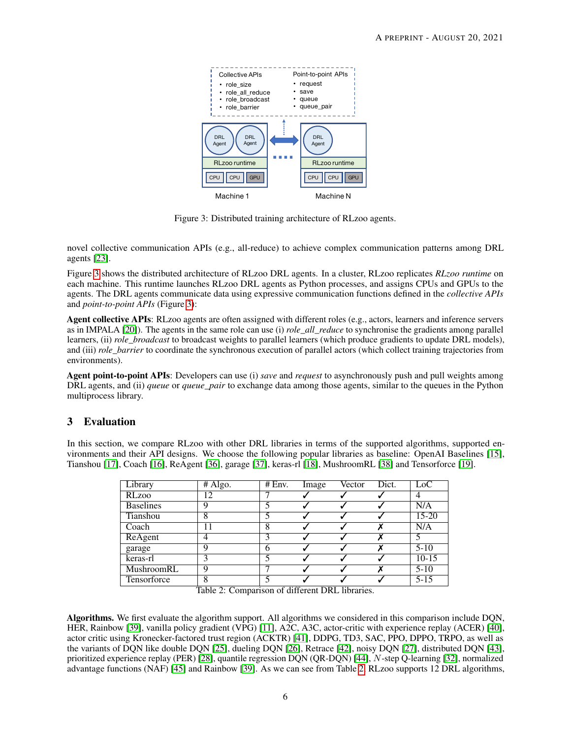

<span id="page-5-0"></span>Figure 3: Distributed training architecture of RLzoo agents.

novel collective communication APIs (e.g., all-reduce) to achieve complex communication patterns among DRL agents [\[23\]](#page-7-18).

Figure [3](#page-5-0) shows the distributed architecture of RLzoo DRL agents. In a cluster, RLzoo replicates *RLzoo runtime* on each machine. This runtime launches RLzoo DRL agents as Python processes, and assigns CPUs and GPUs to the agents. The DRL agents communicate data using expressive communication functions defined in the *collective APIs* and *point-to-point APIs* (Figure [3\)](#page-5-0):

Agent collective APIs: RLzoo agents are often assigned with different roles (e.g., actors, learners and inference servers as in IMPALA [\[20\]](#page-7-15)). The agents in the same role can use (i) *role all reduce* to synchronise the gradients among parallel learners, (ii) *role\_broadcast* to broadcast weights to parallel learners (which produce gradients to update DRL models), and (iii) *role\_barrier* to coordinate the synchronous execution of parallel actors (which collect training trajectories from environments).

Agent point-to-point APIs: Developers can use (i) *save* and *request* to asynchronously push and pull weights among DRL agents, and (ii) *queue* or *queue\_pair* to exchange data among those agents, similar to the queues in the Python multiprocess library.

## 3 Evaluation

In this section, we compare RLzoo with other DRL libraries in terms of the supported algorithms, supported environments and their API designs. We choose the following popular libraries as baseline: OpenAI Baselines [\[15\]](#page-7-10), Tianshou [\[17\]](#page-7-12), Coach [\[16\]](#page-7-11), ReAgent [\[36\]](#page-8-9), garage [\[37\]](#page-8-10), keras-rl [\[18\]](#page-7-13), MushroomRL [\[38\]](#page-8-11) and Tensorforce [\[19\]](#page-7-14).

| Library          | # Algo. | # Env. | Image | Vector | Dict. | LoC       |
|------------------|---------|--------|-------|--------|-------|-----------|
| <b>RLzoo</b>     | 12      |        |       |        |       | 4         |
| <b>Baselines</b> | q       |        |       |        |       | N/A       |
| Tianshou         | 8       |        |       |        |       | $15 - 20$ |
| Coach            |         | 8      |       |        |       | N/A       |
| ReAgent          |         |        |       |        |       |           |
| garage           | q       | h      |       |        |       | $5 - 10$  |
| keras-rl         |         |        |       |        |       | $10-15$   |
| MushroomRL       | Q       |        |       |        |       | $5 - 10$  |
| Tensorforce      | 8       |        |       |        |       | $5 - 15$  |

<span id="page-5-1"></span>Table 2: Comparison of different DRL libraries.

Algorithms. We first evaluate the algorithm support. All algorithms we considered in this comparison include DQN, HER, Rainbow [\[39\]](#page-8-12), vanilla policy gradient (VPG) [\[11\]](#page-7-6), A2C, A3C, actor-critic with experience replay (ACER) [\[40\]](#page-8-13), actor critic using Kronecker-factored trust region (ACKTR) [\[41\]](#page-8-14), DDPG, TD3, SAC, PPO, DPPO, TRPO, as well as the variants of DQN like double DQN [\[25\]](#page-7-20), dueling DQN [\[26\]](#page-7-21), Retrace [\[42\]](#page-8-15), noisy DQN [\[27\]](#page-8-0), distributed DQN [\[43\]](#page-8-16), prioritized experience replay (PER) [\[28\]](#page-8-1), quantile regression DQN (QR-DQN) [\[44\]](#page-8-17), N-step Q-learning [\[32\]](#page-8-5), normalized advantage functions (NAF) [\[45\]](#page-8-18) and Rainbow [\[39\]](#page-8-12). As we can see from Table [2,](#page-5-1) RLzoo supports 12 DRL algorithms,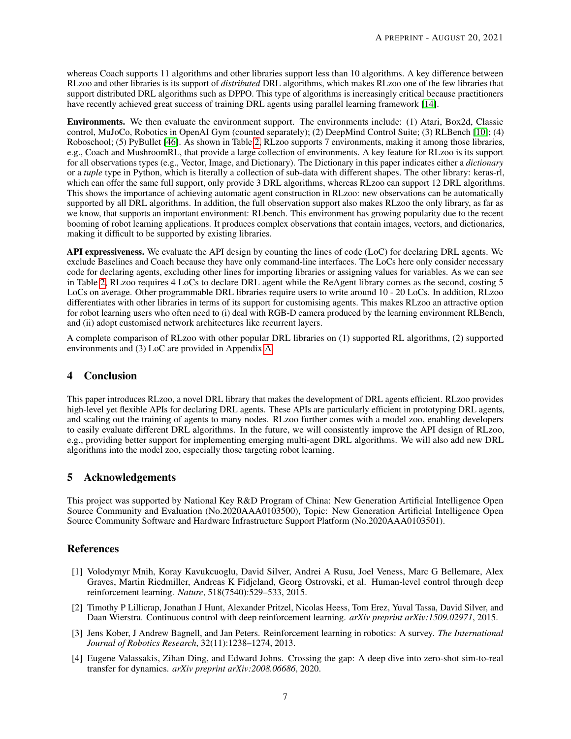whereas Coach supports 11 algorithms and other libraries support less than 10 algorithms. A key difference between RLzoo and other libraries is its support of *distributed* DRL algorithms, which makes RLzoo one of the few libraries that support distributed DRL algorithms such as DPPO. This type of algorithms is increasingly critical because practitioners have recently achieved great success of training DRL agents using parallel learning framework [\[14\]](#page-7-9).

Environments. We then evaluate the environment support. The environments include: (1) Atari, Box2d, Classic control, MuJoCo, Robotics in OpenAI Gym (counted separately); (2) DeepMind Control Suite; (3) RLBench [\[10\]](#page-7-5); (4) Roboschool; (5) PyBullet [\[46\]](#page-8-19). As shown in Table [2,](#page-5-1) RLzoo supports 7 environments, making it among those libraries, e.g., Coach and MushroomRL, that provide a large collection of environments. A key feature for RLzoo is its support for all observations types (e.g., Vector, Image, and Dictionary). The Dictionary in this paper indicates either a *dictionary* or a *tuple* type in Python, which is literally a collection of sub-data with different shapes. The other library: keras-rl, which can offer the same full support, only provide 3 DRL algorithms, whereas RLzoo can support 12 DRL algorithms. This shows the importance of achieving automatic agent construction in RLzoo: new observations can be automatically supported by all DRL algorithms. In addition, the full observation support also makes RLzoo the only library, as far as we know, that supports an important environment: RLbench. This environment has growing popularity due to the recent booming of robot learning applications. It produces complex observations that contain images, vectors, and dictionaries, making it difficult to be supported by existing libraries.

API expressiveness. We evaluate the API design by counting the lines of code (LoC) for declaring DRL agents. We exclude Baselines and Coach because they have only command-line interfaces. The LoCs here only consider necessary code for declaring agents, excluding other lines for importing libraries or assigning values for variables. As we can see in Table [2,](#page-5-1) RLzoo requires 4 LoCs to declare DRL agent while the ReAgent library comes as the second, costing 5 LoCs on average. Other programmable DRL libraries require users to write around 10 - 20 LoCs. In addition, RLzoo differentiates with other libraries in terms of its support for customising agents. This makes RLzoo an attractive option for robot learning users who often need to (i) deal with RGB-D camera produced by the learning environment RLBench, and (ii) adopt customised network architectures like recurrent layers.

A complete comparison of RLzoo with other popular DRL libraries on (1) supported RL algorithms, (2) supported environments and (3) LoC are provided in Appendix [A.](#page-9-0)

## 4 Conclusion

This paper introduces RLzoo, a novel DRL library that makes the development of DRL agents efficient. RLzoo provides high-level yet flexible APIs for declaring DRL agents. These APIs are particularly efficient in prototyping DRL agents, and scaling out the training of agents to many nodes. RLzoo further comes with a model zoo, enabling developers to easily evaluate different DRL algorithms. In the future, we will consistently improve the API design of RLzoo, e.g., providing better support for implementing emerging multi-agent DRL algorithms. We will also add new DRL algorithms into the model zoo, especially those targeting robot learning.

## 5 Acknowledgements

This project was supported by National Key R&D Program of China: New Generation Artificial Intelligence Open Source Community and Evaluation (No.2020AAA0103500), Topic: New Generation Artificial Intelligence Open Source Community Software and Hardware Infrastructure Support Platform (No.2020AAA0103501).

# References

- <span id="page-6-0"></span>[1] Volodymyr Mnih, Koray Kavukcuoglu, David Silver, Andrei A Rusu, Joel Veness, Marc G Bellemare, Alex Graves, Martin Riedmiller, Andreas K Fidjeland, Georg Ostrovski, et al. Human-level control through deep reinforcement learning. *Nature*, 518(7540):529–533, 2015.
- <span id="page-6-1"></span>[2] Timothy P Lillicrap, Jonathan J Hunt, Alexander Pritzel, Nicolas Heess, Tom Erez, Yuval Tassa, David Silver, and Daan Wierstra. Continuous control with deep reinforcement learning. *arXiv preprint arXiv:1509.02971*, 2015.
- <span id="page-6-2"></span>[3] Jens Kober, J Andrew Bagnell, and Jan Peters. Reinforcement learning in robotics: A survey. *The International Journal of Robotics Research*, 32(11):1238–1274, 2013.
- <span id="page-6-3"></span>[4] Eugene Valassakis, Zihan Ding, and Edward Johns. Crossing the gap: A deep dive into zero-shot sim-to-real transfer for dynamics. *arXiv preprint arXiv:2008.06686*, 2020.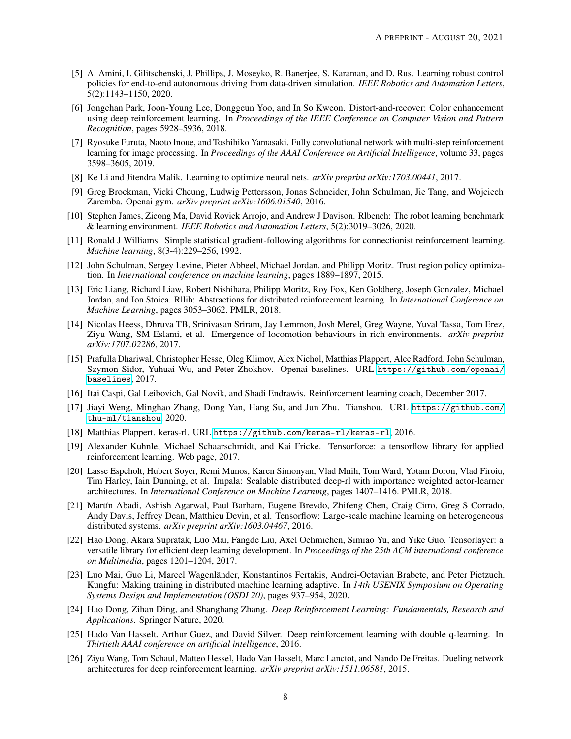- <span id="page-7-0"></span>[5] A. Amini, I. Gilitschenski, J. Phillips, J. Moseyko, R. Banerjee, S. Karaman, and D. Rus. Learning robust control policies for end-to-end autonomous driving from data-driven simulation. *IEEE Robotics and Automation Letters*, 5(2):1143–1150, 2020.
- <span id="page-7-1"></span>[6] Jongchan Park, Joon-Young Lee, Donggeun Yoo, and In So Kweon. Distort-and-recover: Color enhancement using deep reinforcement learning. In *Proceedings of the IEEE Conference on Computer Vision and Pattern Recognition*, pages 5928–5936, 2018.
- <span id="page-7-2"></span>[7] Ryosuke Furuta, Naoto Inoue, and Toshihiko Yamasaki. Fully convolutional network with multi-step reinforcement learning for image processing. In *Proceedings of the AAAI Conference on Artificial Intelligence*, volume 33, pages 3598–3605, 2019.
- <span id="page-7-3"></span>[8] Ke Li and Jitendra Malik. Learning to optimize neural nets. *arXiv preprint arXiv:1703.00441*, 2017.
- <span id="page-7-4"></span>[9] Greg Brockman, Vicki Cheung, Ludwig Pettersson, Jonas Schneider, John Schulman, Jie Tang, and Wojciech Zaremba. Openai gym. *arXiv preprint arXiv:1606.01540*, 2016.
- <span id="page-7-5"></span>[10] Stephen James, Zicong Ma, David Rovick Arrojo, and Andrew J Davison. Rlbench: The robot learning benchmark & learning environment. *IEEE Robotics and Automation Letters*, 5(2):3019–3026, 2020.
- <span id="page-7-6"></span>[11] Ronald J Williams. Simple statistical gradient-following algorithms for connectionist reinforcement learning. *Machine learning*, 8(3-4):229–256, 1992.
- <span id="page-7-7"></span>[12] John Schulman, Sergey Levine, Pieter Abbeel, Michael Jordan, and Philipp Moritz. Trust region policy optimization. In *International conference on machine learning*, pages 1889–1897, 2015.
- <span id="page-7-8"></span>[13] Eric Liang, Richard Liaw, Robert Nishihara, Philipp Moritz, Roy Fox, Ken Goldberg, Joseph Gonzalez, Michael Jordan, and Ion Stoica. Rllib: Abstractions for distributed reinforcement learning. In *International Conference on Machine Learning*, pages 3053–3062. PMLR, 2018.
- <span id="page-7-9"></span>[14] Nicolas Heess, Dhruva TB, Srinivasan Sriram, Jay Lemmon, Josh Merel, Greg Wayne, Yuval Tassa, Tom Erez, Ziyu Wang, SM Eslami, et al. Emergence of locomotion behaviours in rich environments. *arXiv preprint arXiv:1707.02286*, 2017.
- <span id="page-7-10"></span>[15] Prafulla Dhariwal, Christopher Hesse, Oleg Klimov, Alex Nichol, Matthias Plappert, Alec Radford, John Schulman, Szymon Sidor, Yuhuai Wu, and Peter Zhokhov. Openai baselines. URL [https://github.com/openai/](https://github.com/openai/baselines) [baselines](https://github.com/openai/baselines), 2017.
- <span id="page-7-11"></span>[16] Itai Caspi, Gal Leibovich, Gal Novik, and Shadi Endrawis. Reinforcement learning coach, December 2017.
- <span id="page-7-12"></span>[17] Jiayi Weng, Minghao Zhang, Dong Yan, Hang Su, and Jun Zhu. Tianshou. URL [https://github.com/](https://github.com/thu-ml/tianshou) [thu-ml/tianshou](https://github.com/thu-ml/tianshou), 2020.
- <span id="page-7-13"></span>[18] Matthias Plappert. keras-rl. URL <https://github.com/keras-rl/keras-rl>, 2016.
- <span id="page-7-14"></span>[19] Alexander Kuhnle, Michael Schaarschmidt, and Kai Fricke. Tensorforce: a tensorflow library for applied reinforcement learning. Web page, 2017.
- <span id="page-7-15"></span>[20] Lasse Espeholt, Hubert Soyer, Remi Munos, Karen Simonyan, Vlad Mnih, Tom Ward, Yotam Doron, Vlad Firoiu, Tim Harley, Iain Dunning, et al. Impala: Scalable distributed deep-rl with importance weighted actor-learner architectures. In *International Conference on Machine Learning*, pages 1407–1416. PMLR, 2018.
- <span id="page-7-16"></span>[21] Martín Abadi, Ashish Agarwal, Paul Barham, Eugene Brevdo, Zhifeng Chen, Craig Citro, Greg S Corrado, Andy Davis, Jeffrey Dean, Matthieu Devin, et al. Tensorflow: Large-scale machine learning on heterogeneous distributed systems. *arXiv preprint arXiv:1603.04467*, 2016.
- <span id="page-7-17"></span>[22] Hao Dong, Akara Supratak, Luo Mai, Fangde Liu, Axel Oehmichen, Simiao Yu, and Yike Guo. Tensorlayer: a versatile library for efficient deep learning development. In *Proceedings of the 25th ACM international conference on Multimedia*, pages 1201–1204, 2017.
- <span id="page-7-18"></span>[23] Luo Mai, Guo Li, Marcel Wagenländer, Konstantinos Fertakis, Andrei-Octavian Brabete, and Peter Pietzuch. Kungfu: Making training in distributed machine learning adaptive. In *14th USENIX Symposium on Operating Systems Design and Implementation (OSDI 20)*, pages 937–954, 2020.
- <span id="page-7-19"></span>[24] Hao Dong, Zihan Ding, and Shanghang Zhang. *Deep Reinforcement Learning: Fundamentals, Research and Applications*. Springer Nature, 2020.
- <span id="page-7-20"></span>[25] Hado Van Hasselt, Arthur Guez, and David Silver. Deep reinforcement learning with double q-learning. In *Thirtieth AAAI conference on artificial intelligence*, 2016.
- <span id="page-7-21"></span>[26] Ziyu Wang, Tom Schaul, Matteo Hessel, Hado Van Hasselt, Marc Lanctot, and Nando De Freitas. Dueling network architectures for deep reinforcement learning. *arXiv preprint arXiv:1511.06581*, 2015.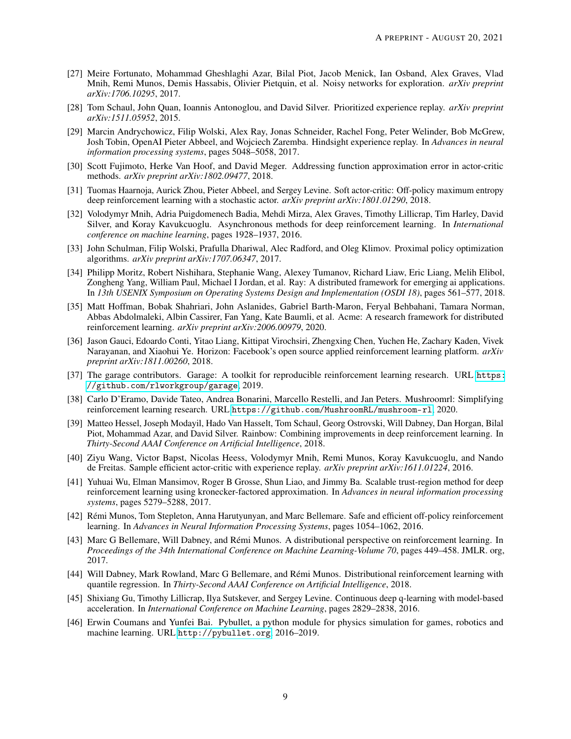- <span id="page-8-0"></span>[27] Meire Fortunato, Mohammad Gheshlaghi Azar, Bilal Piot, Jacob Menick, Ian Osband, Alex Graves, Vlad Mnih, Remi Munos, Demis Hassabis, Olivier Pietquin, et al. Noisy networks for exploration. *arXiv preprint arXiv:1706.10295*, 2017.
- <span id="page-8-1"></span>[28] Tom Schaul, John Quan, Ioannis Antonoglou, and David Silver. Prioritized experience replay. *arXiv preprint arXiv:1511.05952*, 2015.
- <span id="page-8-2"></span>[29] Marcin Andrychowicz, Filip Wolski, Alex Ray, Jonas Schneider, Rachel Fong, Peter Welinder, Bob McGrew, Josh Tobin, OpenAI Pieter Abbeel, and Wojciech Zaremba. Hindsight experience replay. In *Advances in neural information processing systems*, pages 5048–5058, 2017.
- <span id="page-8-3"></span>[30] Scott Fujimoto, Herke Van Hoof, and David Meger. Addressing function approximation error in actor-critic methods. *arXiv preprint arXiv:1802.09477*, 2018.
- <span id="page-8-4"></span>[31] Tuomas Haarnoja, Aurick Zhou, Pieter Abbeel, and Sergey Levine. Soft actor-critic: Off-policy maximum entropy deep reinforcement learning with a stochastic actor. *arXiv preprint arXiv:1801.01290*, 2018.
- <span id="page-8-5"></span>[32] Volodymyr Mnih, Adria Puigdomenech Badia, Mehdi Mirza, Alex Graves, Timothy Lillicrap, Tim Harley, David Silver, and Koray Kavukcuoglu. Asynchronous methods for deep reinforcement learning. In *International conference on machine learning*, pages 1928–1937, 2016.
- <span id="page-8-6"></span>[33] John Schulman, Filip Wolski, Prafulla Dhariwal, Alec Radford, and Oleg Klimov. Proximal policy optimization algorithms. *arXiv preprint arXiv:1707.06347*, 2017.
- <span id="page-8-7"></span>[34] Philipp Moritz, Robert Nishihara, Stephanie Wang, Alexey Tumanov, Richard Liaw, Eric Liang, Melih Elibol, Zongheng Yang, William Paul, Michael I Jordan, et al. Ray: A distributed framework for emerging ai applications. In *13th USENIX Symposium on Operating Systems Design and Implementation (OSDI 18)*, pages 561–577, 2018.
- <span id="page-8-8"></span>[35] Matt Hoffman, Bobak Shahriari, John Aslanides, Gabriel Barth-Maron, Feryal Behbahani, Tamara Norman, Abbas Abdolmaleki, Albin Cassirer, Fan Yang, Kate Baumli, et al. Acme: A research framework for distributed reinforcement learning. *arXiv preprint arXiv:2006.00979*, 2020.
- <span id="page-8-9"></span>[36] Jason Gauci, Edoardo Conti, Yitao Liang, Kittipat Virochsiri, Zhengxing Chen, Yuchen He, Zachary Kaden, Vivek Narayanan, and Xiaohui Ye. Horizon: Facebook's open source applied reinforcement learning platform. *arXiv preprint arXiv:1811.00260*, 2018.
- <span id="page-8-10"></span>[37] The garage contributors. Garage: A toolkit for reproducible reinforcement learning research. URL [https:](https://github.com/rlworkgroup/garage) [//github.com/rlworkgroup/garage](https://github.com/rlworkgroup/garage), 2019.
- <span id="page-8-11"></span>[38] Carlo D'Eramo, Davide Tateo, Andrea Bonarini, Marcello Restelli, and Jan Peters. Mushroomrl: Simplifying reinforcement learning research. URL <https://github.com/MushroomRL/mushroom-rl>, 2020.
- <span id="page-8-12"></span>[39] Matteo Hessel, Joseph Modayil, Hado Van Hasselt, Tom Schaul, Georg Ostrovski, Will Dabney, Dan Horgan, Bilal Piot, Mohammad Azar, and David Silver. Rainbow: Combining improvements in deep reinforcement learning. In *Thirty-Second AAAI Conference on Artificial Intelligence*, 2018.
- <span id="page-8-13"></span>[40] Ziyu Wang, Victor Bapst, Nicolas Heess, Volodymyr Mnih, Remi Munos, Koray Kavukcuoglu, and Nando de Freitas. Sample efficient actor-critic with experience replay. *arXiv preprint arXiv:1611.01224*, 2016.
- <span id="page-8-14"></span>[41] Yuhuai Wu, Elman Mansimov, Roger B Grosse, Shun Liao, and Jimmy Ba. Scalable trust-region method for deep reinforcement learning using kronecker-factored approximation. In *Advances in neural information processing systems*, pages 5279–5288, 2017.
- <span id="page-8-15"></span>[42] Rémi Munos, Tom Stepleton, Anna Harutyunyan, and Marc Bellemare. Safe and efficient off-policy reinforcement learning. In *Advances in Neural Information Processing Systems*, pages 1054–1062, 2016.
- <span id="page-8-16"></span>[43] Marc G Bellemare, Will Dabney, and Rémi Munos. A distributional perspective on reinforcement learning. In *Proceedings of the 34th International Conference on Machine Learning-Volume 70*, pages 449–458. JMLR. org, 2017.
- <span id="page-8-17"></span>[44] Will Dabney, Mark Rowland, Marc G Bellemare, and Rémi Munos. Distributional reinforcement learning with quantile regression. In *Thirty-Second AAAI Conference on Artificial Intelligence*, 2018.
- <span id="page-8-18"></span>[45] Shixiang Gu, Timothy Lillicrap, Ilya Sutskever, and Sergey Levine. Continuous deep q-learning with model-based acceleration. In *International Conference on Machine Learning*, pages 2829–2838, 2016.
- <span id="page-8-19"></span>[46] Erwin Coumans and Yunfei Bai. Pybullet, a python module for physics simulation for games, robotics and machine learning. URL <http://pybullet.org>, 2016–2019.